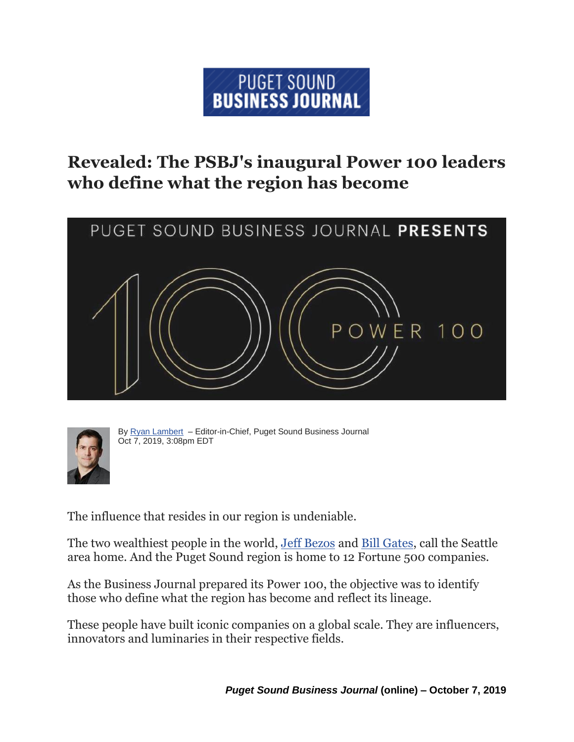## PUGET SOUND **BUSINESS JOURNAL**

## **Revealed: The PSBJ's inaugural Power 100 leaders who define what the region has become**





By Ryan [Lambert](https://www.bizjournals.com/seattle/bio/26851/Ryan+Lambert) - Editor-in-Chief, Puget Sound Business Journal Oct 7, 2019, 3:08pm EDT

The influence that resides in our region is undeniable.

The two wealthiest people in the world, [Jeff Bezos](https://www.bizjournals.com/seattle/search/results?q=Jeff%20Bezos) and [Bill Gates,](https://www.bizjournals.com/seattle/search/results?q=Bill%20Gates) call the Seattle area home. And the Puget Sound region is home to 12 Fortune 500 companies.

As the Business Journal prepared its Power 100, the objective was to identify those who define what the region has become and reflect its lineage.

These people have built iconic companies on a global scale. They are influencers, innovators and luminaries in their respective fields.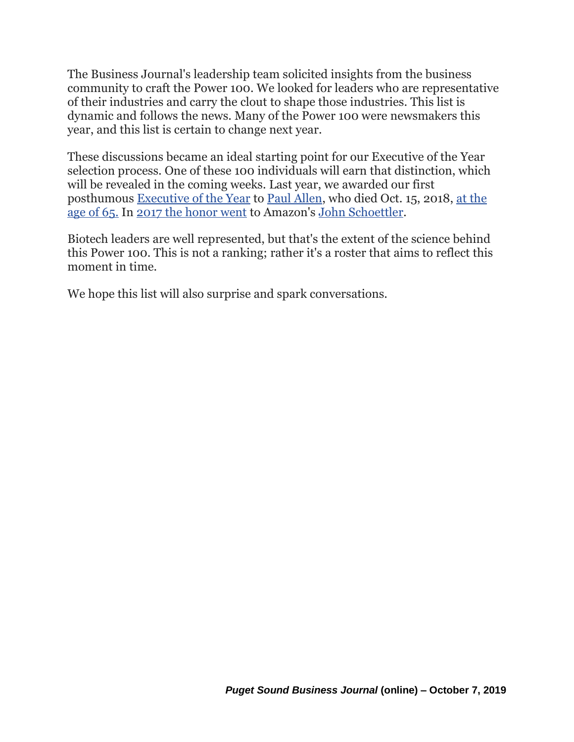The Business Journal's leadership team solicited insights from the business community to craft the Power 100. We looked for leaders who are representative of their industries and carry the clout to shape those industries. This list is dynamic and follows the news. Many of the Power 100 were newsmakers this year, and this list is certain to change next year.

These discussions became an ideal starting point for our Executive of the Year selection process. One of these 100 individuals will earn that distinction, which will be revealed in the coming weeks. Last year, we awarded our first posthumous [Executive of the Year](https://www.bizjournals.com/seattle/news/2018/12/14/executive-of-the-year-paul-allen-microsoft-vulcan.html) to [Paul Allen,](https://www.bizjournals.com/seattle/search/results?q=Paul%20Allen) who died Oct. 15, 2018, [at the](https://www.bizjournals.com/seattle/news/2018/10/15/paul-allen-death-reaction-memories-friends-leaders.html)  [age of 65.](https://www.bizjournals.com/seattle/news/2018/10/15/paul-allen-death-reaction-memories-friends-leaders.html) In [2017 the honor went](https://www.bizjournals.com/seattle/news/2017/12/14/john-schoettler-amazon-executive-of-the-year.html) to Amazon's [John Schoettler.](https://www.bizjournals.com/seattle/search/results?q=John%20Schoettler)

Biotech leaders are well represented, but that's the extent of the science behind this Power 100. This is not a ranking; rather it's a roster that aims to reflect this moment in time.

We hope this list will also surprise and spark conversations.